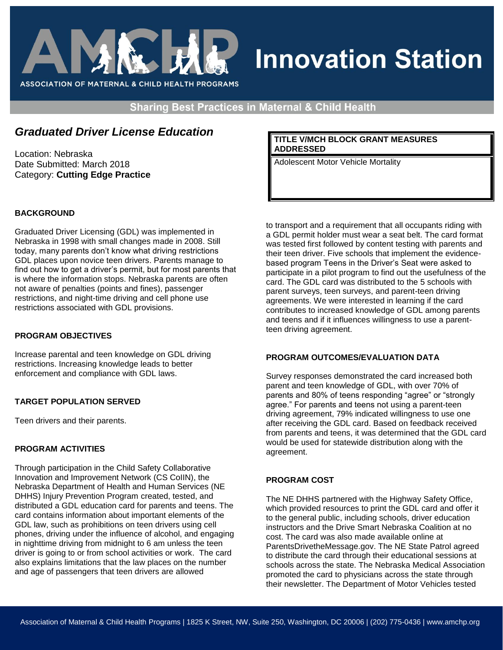

# **Innovation Station**

**Sharing Best Practices in Maternal & Child Health** 

## *Graduated Driver License Education*

Location: Nebraska Date Submitted: March 2018 Category: **Cutting Edge Practice** 

## **BACKGROUND**

Graduated Driver Licensing (GDL) was implemented in Nebraska in 1998 with small changes made in 2008. Still today, many parents don't know what driving restrictions GDL places upon novice teen drivers. Parents manage to find out how to get a driver's permit, but for most parents that is where the information stops. Nebraska parents are often not aware of penalties (points and fines), passenger restrictions, and night-time driving and cell phone use restrictions associated with GDL provisions.

## **PROGRAM OBJECTIVES**

Increase parental and teen knowledge on GDL driving restrictions. Increasing knowledge leads to better enforcement and compliance with GDL laws.

## **TARGET POPULATION SERVED**

Teen drivers and their parents.

## **PROGRAM ACTIVITIES**

Through participation in the Child Safety Collaborative Innovation and Improvement Network (CS CoIIN), the Nebraska Department of Health and Human Services (NE DHHS) Injury Prevention Program created, tested, and distributed a GDL education card for parents and teens. The card contains information about important elements of the GDL law, such as prohibitions on teen drivers using cell phones, driving under the influence of alcohol, and engaging in nighttime driving from midnight to 6 am unless the teen driver is going to or from school activities or work. The card also explains limitations that the law places on the number and age of passengers that teen drivers are allowed

### **TITLE V/MCH BLOCK GRANT MEASURES ADDRESSED**

Adolescent Motor Vehicle Mortality

to transport and a requirement that all occupants riding with a GDL permit holder must wear a seat belt. The card format was tested first followed by content testing with parents and their teen driver. Five schools that implement the evidencebased program Teens in the Driver's Seat were asked to participate in a pilot program to find out the usefulness of the card. The GDL card was distributed to the 5 schools with parent surveys, teen surveys, and parent-teen driving agreements. We were interested in learning if the card contributes to increased knowledge of GDL among parents and teens and if it influences willingness to use a parentteen driving agreement.

#### **PROGRAM OUTCOMES/EVALUATION DATA**

Survey responses demonstrated the card increased both parent and teen knowledge of GDL, with over 70% of parents and 80% of teens responding "agree" or "strongly agree." For parents and teens not using a parent-teen driving agreement, 79% indicated willingness to use one after receiving the GDL card. Based on feedback received from parents and teens, it was determined that the GDL card would be used for statewide distribution along with the agreement.

## **PROGRAM COST**

The NE DHHS partnered with the Highway Safety Office, which provided resources to print the GDL card and offer it to the general public, including schools, driver education instructors and the Drive Smart Nebraska Coalition at no cost. The card was also made available online at ParentsDrivetheMessage.gov. The NE State Patrol agreed to distribute the card through their educational sessions at schools across the state. The Nebraska Medical Association promoted the card to physicians across the state through their newsletter. The Department of Motor Vehicles tested